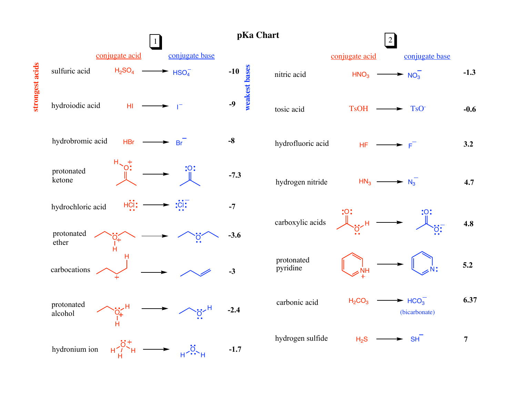